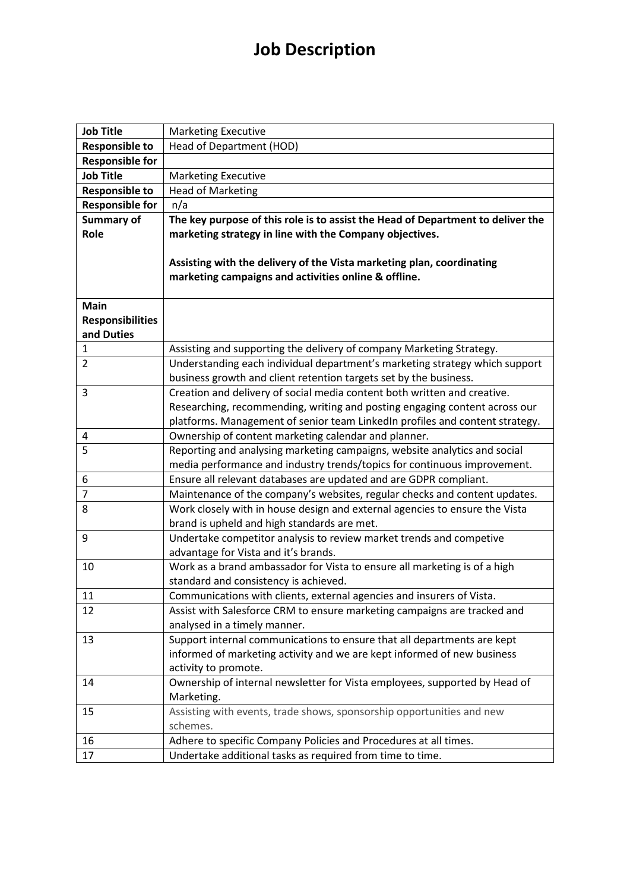## **Job Description**

| <b>Responsible to</b><br>Head of Department (HOD)<br><b>Responsible for</b><br><b>Job Title</b><br><b>Marketing Executive</b><br><b>Head of Marketing</b><br><b>Responsible to</b><br><b>Responsible for</b><br>n/a<br><b>Summary of</b><br>The key purpose of this role is to assist the Head of Department to deliver the<br>Role<br>marketing strategy in line with the Company objectives.<br>Assisting with the delivery of the Vista marketing plan, coordinating<br>marketing campaigns and activities online & offline.<br>Main<br><b>Responsibilities</b><br>and Duties<br>Assisting and supporting the delivery of company Marketing Strategy.<br>$\mathbf{1}$ | <b>Job Title</b> | <b>Marketing Executive</b> |
|--------------------------------------------------------------------------------------------------------------------------------------------------------------------------------------------------------------------------------------------------------------------------------------------------------------------------------------------------------------------------------------------------------------------------------------------------------------------------------------------------------------------------------------------------------------------------------------------------------------------------------------------------------------------------|------------------|----------------------------|
|                                                                                                                                                                                                                                                                                                                                                                                                                                                                                                                                                                                                                                                                          |                  |                            |
|                                                                                                                                                                                                                                                                                                                                                                                                                                                                                                                                                                                                                                                                          |                  |                            |
|                                                                                                                                                                                                                                                                                                                                                                                                                                                                                                                                                                                                                                                                          |                  |                            |
|                                                                                                                                                                                                                                                                                                                                                                                                                                                                                                                                                                                                                                                                          |                  |                            |
|                                                                                                                                                                                                                                                                                                                                                                                                                                                                                                                                                                                                                                                                          |                  |                            |
|                                                                                                                                                                                                                                                                                                                                                                                                                                                                                                                                                                                                                                                                          |                  |                            |
|                                                                                                                                                                                                                                                                                                                                                                                                                                                                                                                                                                                                                                                                          |                  |                            |
|                                                                                                                                                                                                                                                                                                                                                                                                                                                                                                                                                                                                                                                                          |                  |                            |
|                                                                                                                                                                                                                                                                                                                                                                                                                                                                                                                                                                                                                                                                          |                  |                            |
|                                                                                                                                                                                                                                                                                                                                                                                                                                                                                                                                                                                                                                                                          |                  |                            |
|                                                                                                                                                                                                                                                                                                                                                                                                                                                                                                                                                                                                                                                                          |                  |                            |
|                                                                                                                                                                                                                                                                                                                                                                                                                                                                                                                                                                                                                                                                          |                  |                            |
|                                                                                                                                                                                                                                                                                                                                                                                                                                                                                                                                                                                                                                                                          |                  |                            |
|                                                                                                                                                                                                                                                                                                                                                                                                                                                                                                                                                                                                                                                                          |                  |                            |
| Understanding each individual department's marketing strategy which support<br>$\overline{2}$                                                                                                                                                                                                                                                                                                                                                                                                                                                                                                                                                                            |                  |                            |
| business growth and client retention targets set by the business.                                                                                                                                                                                                                                                                                                                                                                                                                                                                                                                                                                                                        |                  |                            |
| Creation and delivery of social media content both written and creative.<br>3                                                                                                                                                                                                                                                                                                                                                                                                                                                                                                                                                                                            |                  |                            |
| Researching, recommending, writing and posting engaging content across our                                                                                                                                                                                                                                                                                                                                                                                                                                                                                                                                                                                               |                  |                            |
| platforms. Management of senior team LinkedIn profiles and content strategy.                                                                                                                                                                                                                                                                                                                                                                                                                                                                                                                                                                                             |                  |                            |
| Ownership of content marketing calendar and planner.<br>4                                                                                                                                                                                                                                                                                                                                                                                                                                                                                                                                                                                                                |                  |                            |
| 5<br>Reporting and analysing marketing campaigns, website analytics and social                                                                                                                                                                                                                                                                                                                                                                                                                                                                                                                                                                                           |                  |                            |
| media performance and industry trends/topics for continuous improvement.                                                                                                                                                                                                                                                                                                                                                                                                                                                                                                                                                                                                 |                  |                            |
| Ensure all relevant databases are updated and are GDPR compliant.<br>6                                                                                                                                                                                                                                                                                                                                                                                                                                                                                                                                                                                                   |                  |                            |
| Maintenance of the company's websites, regular checks and content updates.<br>7                                                                                                                                                                                                                                                                                                                                                                                                                                                                                                                                                                                          |                  |                            |
| Work closely with in house design and external agencies to ensure the Vista<br>8                                                                                                                                                                                                                                                                                                                                                                                                                                                                                                                                                                                         |                  |                            |
| brand is upheld and high standards are met.                                                                                                                                                                                                                                                                                                                                                                                                                                                                                                                                                                                                                              |                  |                            |
| 9<br>Undertake competitor analysis to review market trends and competive                                                                                                                                                                                                                                                                                                                                                                                                                                                                                                                                                                                                 |                  |                            |
| advantage for Vista and it's brands.<br>Work as a brand ambassador for Vista to ensure all marketing is of a high<br>10                                                                                                                                                                                                                                                                                                                                                                                                                                                                                                                                                  |                  |                            |
| standard and consistency is achieved.                                                                                                                                                                                                                                                                                                                                                                                                                                                                                                                                                                                                                                    |                  |                            |
| Communications with clients, external agencies and insurers of Vista.<br>11                                                                                                                                                                                                                                                                                                                                                                                                                                                                                                                                                                                              |                  |                            |
| 12<br>Assist with Salesforce CRM to ensure marketing campaigns are tracked and                                                                                                                                                                                                                                                                                                                                                                                                                                                                                                                                                                                           |                  |                            |
| analysed in a timely manner.                                                                                                                                                                                                                                                                                                                                                                                                                                                                                                                                                                                                                                             |                  |                            |
| Support internal communications to ensure that all departments are kept<br>13                                                                                                                                                                                                                                                                                                                                                                                                                                                                                                                                                                                            |                  |                            |
| informed of marketing activity and we are kept informed of new business                                                                                                                                                                                                                                                                                                                                                                                                                                                                                                                                                                                                  |                  |                            |
| activity to promote.                                                                                                                                                                                                                                                                                                                                                                                                                                                                                                                                                                                                                                                     |                  |                            |
| Ownership of internal newsletter for Vista employees, supported by Head of<br>14                                                                                                                                                                                                                                                                                                                                                                                                                                                                                                                                                                                         |                  |                            |
| Marketing.                                                                                                                                                                                                                                                                                                                                                                                                                                                                                                                                                                                                                                                               |                  |                            |
| Assisting with events, trade shows, sponsorship opportunities and new<br>15                                                                                                                                                                                                                                                                                                                                                                                                                                                                                                                                                                                              |                  |                            |
| schemes.                                                                                                                                                                                                                                                                                                                                                                                                                                                                                                                                                                                                                                                                 |                  |                            |
| 16<br>Adhere to specific Company Policies and Procedures at all times.                                                                                                                                                                                                                                                                                                                                                                                                                                                                                                                                                                                                   |                  |                            |
| Undertake additional tasks as required from time to time.<br>17                                                                                                                                                                                                                                                                                                                                                                                                                                                                                                                                                                                                          |                  |                            |